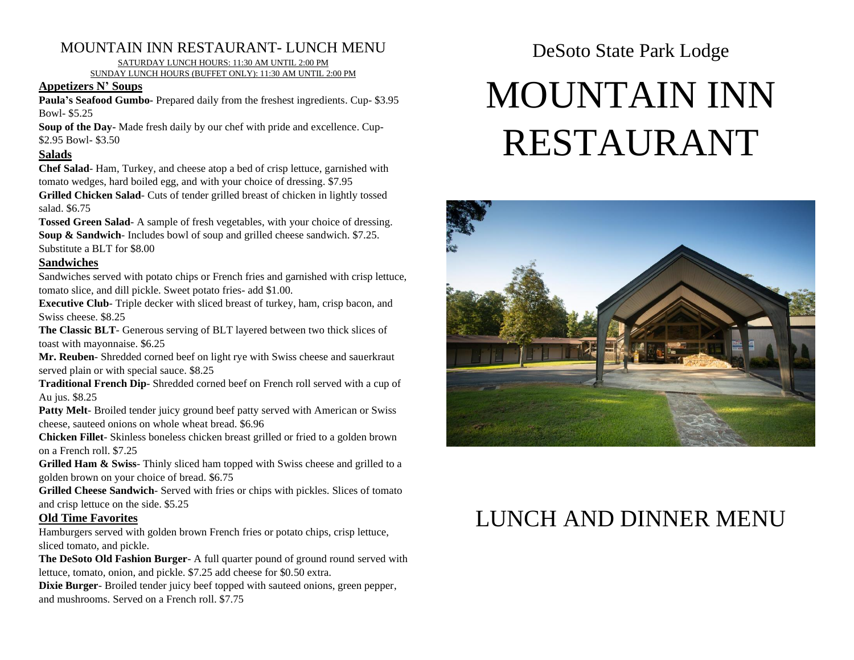### MOUNTAIN INN RESTAURANT- LUNCH MENU

SATURDAY LUNCH HOURS: 11:30 AM UNTIL 2:00 PM

SUNDAY LUNCH HOURS (BUFFET ONLY): 11:30 AM UNTIL 2:00 PM

#### **Appetizers N' Soups**

**Paula's Seafood Gumbo-** Prepared daily from the freshest ingredients. Cup- \$3.95 Bowl- \$5.25

**Soup of the Day-** Made fresh daily by our chef with pride and excellence. Cup- \$2.95 Bowl- \$3.50

#### **Salads**

**Chef Salad**- Ham, Turkey, and cheese atop a bed of crisp lettuce, garnished with tomato wedges, hard boiled egg, and with your choice of dressing. \$7.95

**Grilled Chicken Salad**- Cuts of tender grilled breast of chicken in lightly tossed salad. \$6.75

**Tossed Green Salad**- A sample of fresh vegetables, with your choice of dressing. **Soup & Sandwich**- Includes bowl of soup and grilled cheese sandwich. \$7.25. Substitute a BLT for \$8.00

#### **Sandwiches**

Sandwiches served with potato chips or French fries and garnished with crisp lettuce, tomato slice, and dill pickle. Sweet potato fries- add \$1.00.

**Executive Club**- Triple decker with sliced breast of turkey, ham, crisp bacon, and Swiss cheese. \$8.25

**The Classic BLT**- Generous serving of BLT layered between two thick slices of toast with mayonnaise. \$6.25

**Mr. Reuben**- Shredded corned beef on light rye with Swiss cheese and sauerkraut served plain or with special sauce. \$8.25

**Traditional French Dip**- Shredded corned beef on French roll served with a cup of Au jus. \$8.25

Patty Melt- Broiled tender juicy ground beef patty served with American or Swiss cheese, sauteed onions on whole wheat bread. \$6.96

**Chicken Fillet**- Skinless boneless chicken breast grilled or fried to a golden brown on a French roll. \$7.25

**Grilled Ham & Swiss**- Thinly sliced ham topped with Swiss cheese and grilled to a golden brown on your choice of bread. \$6.75

**Grilled Cheese Sandwich**- Served with fries or chips with pickles. Slices of tomato and crisp lettuce on the side. \$5.25

#### **Old Time Favorites**

Hamburgers served with golden brown French fries or potato chips, crisp lettuce, sliced tomato, and pickle.

**The DeSoto Old Fashion Burger**- A full quarter pound of ground round served with lettuce, tomato, onion, and pickle. \$7.25 add cheese for \$0.50 extra.

**Dixie Burger**- Broiled tender juicy beef topped with sauteed onions, green pepper, and mushrooms. Served on a French roll. \$7.75

DeSoto State Park Lodge

# MOUNTAIN INN RESTAURANT



# LUNCH AND DINNER MENU